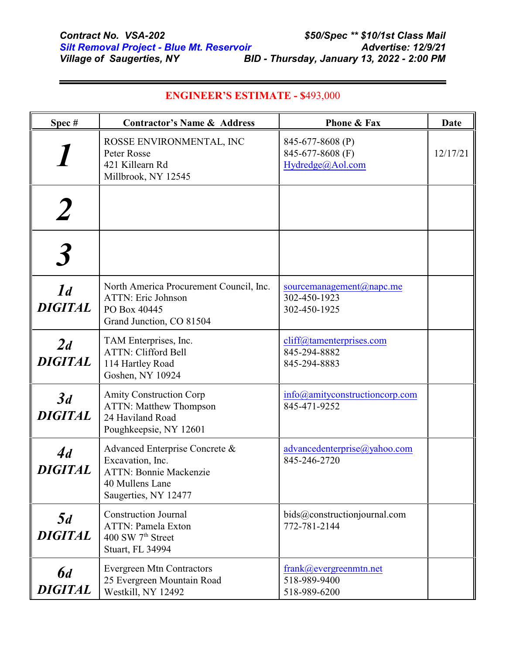$\blacksquare$ 

| Spec#                            | <b>Contractor's Name &amp; Address</b>                                                                                         | Phone & Fax                                              | Date     |
|----------------------------------|--------------------------------------------------------------------------------------------------------------------------------|----------------------------------------------------------|----------|
|                                  | ROSSE ENVIRONMENTAL, INC<br>Peter Rosse<br>421 Killearn Rd<br>Millbrook, NY 12545                                              | 845-677-8608 (P)<br>845-677-8608 (F)<br>Hydredge@Aol.com | 12/17/21 |
|                                  |                                                                                                                                |                                                          |          |
|                                  |                                                                                                                                |                                                          |          |
| 1 <sub>d</sub><br><b>DIGITAL</b> | North America Procurement Council, Inc.<br><b>ATTN: Eric Johnson</b><br>PO Box 40445<br>Grand Junction, CO 81504               | sourcemanagement@napc.me<br>302-450-1923<br>302-450-1925 |          |
| 2d<br><b>DIGITAL</b>             | TAM Enterprises, Inc.<br><b>ATTN: Clifford Bell</b><br>114 Hartley Road<br>Goshen, NY 10924                                    | cliff@tamenterprises.com<br>845-294-8882<br>845-294-8883 |          |
| 3d<br><b>DIGITAL</b>             | <b>Amity Construction Corp</b><br><b>ATTN: Matthew Thompson</b><br>24 Haviland Road<br>Poughkeepsie, NY 12601                  | info@amityconstructioncorp.com<br>845-471-9252           |          |
| 4d<br><b>DIGITAL</b>             | Advanced Enterprise Concrete &<br>Excavation, Inc.<br><b>ATTN: Bonnie Mackenzie</b><br>40 Mullens Lane<br>Saugerties, NY 12477 | advancedenterprise@yahoo.com<br>845-246-2720             |          |
| 5d<br><b>DIGITAL</b>             | <b>Construction Journal</b><br><b>ATTN: Pamela Exton</b><br>400 SW 7 <sup>th</sup> Street<br><b>Stuart, FL 34994</b>           | bids@constructionjournal.com<br>772-781-2144             |          |
| <b>6</b> d<br><b>DIGITAL</b>     | <b>Evergreen Mtn Contractors</b><br>25 Evergreen Mountain Road<br>Westkill, NY 12492                                           | frank@evergreenmtn.net<br>518-989-9400<br>518-989-6200   |          |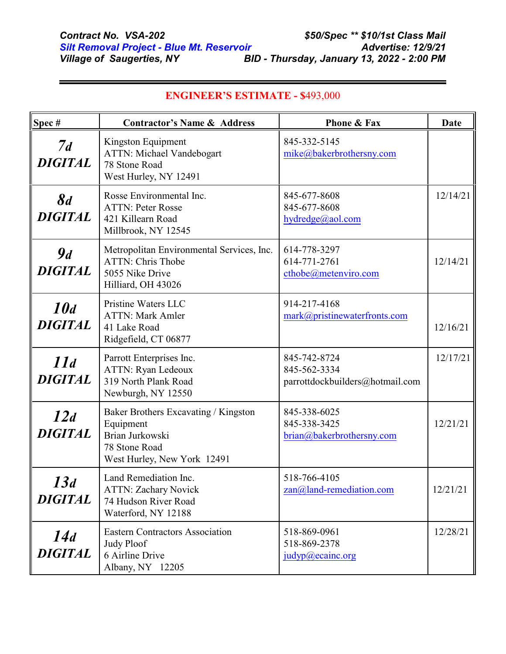| Spec#                            | <b>Contractor's Name &amp; Address</b>                                                                               | <b>Phone &amp; Fax</b>                                          | Date     |
|----------------------------------|----------------------------------------------------------------------------------------------------------------------|-----------------------------------------------------------------|----------|
| 7d<br><b>DIGITAL</b>             | Kingston Equipment<br><b>ATTN: Michael Vandebogart</b><br>78 Stone Road<br>West Hurley, NY 12491                     | 845-332-5145<br>mike@bakerbrothersny.com                        |          |
| $\mathcal{S}d$<br><b>DIGITAL</b> | Rosse Environmental Inc.<br><b>ATTN: Peter Rosse</b><br>421 Killearn Road<br>Millbrook, NY 12545                     | 845-677-8608<br>845-677-8608<br>hydredge@aol.com                | 12/14/21 |
| 9d<br><b>DIGITAL</b>             | Metropolitan Environmental Services, Inc.<br><b>ATTN: Chris Thobe</b><br>5055 Nike Drive<br>Hilliard, OH 43026       | 614-778-3297<br>614-771-2761<br>cthobe@metenviro.com            | 12/14/21 |
| 10d<br><b>DIGITAL</b>            | Pristine Waters LLC<br><b>ATTN: Mark Amler</b><br>41 Lake Road<br>Ridgefield, CT 06877                               | 914-217-4168<br>mark@pristinewaterfronts.com                    | 12/16/21 |
| 11d<br><b>DIGITAL</b>            | Parrott Enterprises Inc.<br>ATTN: Ryan Ledeoux<br>319 North Plank Road<br>Newburgh, NY 12550                         | 845-742-8724<br>845-562-3334<br>parrottdockbuilders@hotmail.com | 12/17/21 |
| 12d<br><b>DIGITAL</b>            | Baker Brothers Excavating / Kingston<br>Equipment<br>Brian Jurkowski<br>78 Stone Road<br>West Hurley, New York 12491 | 845-338-6025<br>845-338-3425<br>brian@bakerbrothersny.com       | 12/21/21 |
| 13d<br><b>DIGITAL</b>            | Land Remediation Inc.<br><b>ATTN: Zachary Novick</b><br>74 Hudson River Road<br>Waterford, NY 12188                  | 518-766-4105<br>zan@land-remediation.com                        | 12/21/21 |
| 14d<br><b>DIGITAL</b>            | <b>Eastern Contractors Association</b><br><b>Judy Ploof</b><br>6 Airline Drive<br>Albany, NY 12205                   | 518-869-0961<br>518-869-2378<br>judyp@ecainc.org                | 12/28/21 |

## **ENGINEER'S ESTIMATE - \$**493,000

 $\blacksquare$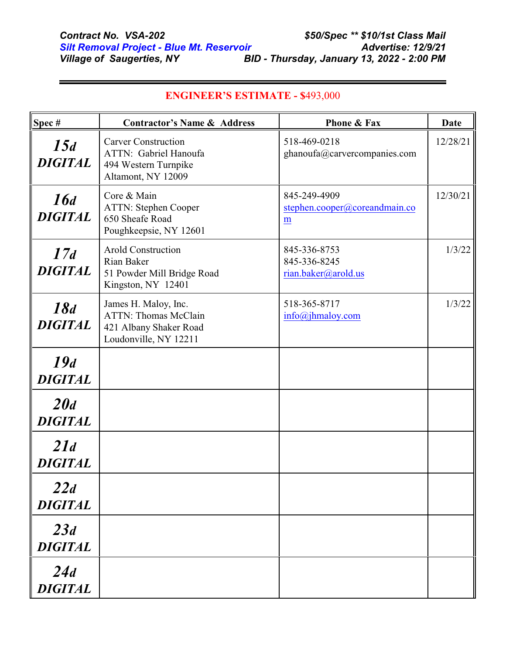| Spec#                 | <b>Contractor's Name &amp; Address</b>                                                                 | <b>Phone &amp; Fax</b>                              | Date     |
|-----------------------|--------------------------------------------------------------------------------------------------------|-----------------------------------------------------|----------|
| 15d<br><b>DIGITAL</b> | <b>Carver Construction</b><br>ATTN: Gabriel Hanoufa<br>494 Western Turnpike<br>Altamont, NY 12009      | 518-469-0218<br>ghanoufa@carvercompanies.com        | 12/28/21 |
| 16d<br><b>DIGITAL</b> | Core & Main<br><b>ATTN: Stephen Cooper</b><br>650 Sheafe Road<br>Poughkeepsie, NY 12601                | 845-249-4909<br>stephen.cooper@coreandmain.co<br>m  | 12/30/21 |
| 17d<br><b>DIGITAL</b> | <b>Arold Construction</b><br>Rian Baker<br>51 Powder Mill Bridge Road<br>Kingston, NY 12401            | 845-336-8753<br>845-336-8245<br>rian.baker@arold.us | 1/3/22   |
| 18d<br><b>DIGITAL</b> | James H. Maloy, Inc.<br><b>ATTN: Thomas McClain</b><br>421 Albany Shaker Road<br>Loudonville, NY 12211 | 518-365-8717<br>info@jhmaloy.com                    | 1/3/22   |
| 19d<br><b>DIGITAL</b> |                                                                                                        |                                                     |          |
| 20d<br><b>DIGITAL</b> |                                                                                                        |                                                     |          |
| 21d<br><b>DIGITAL</b> |                                                                                                        |                                                     |          |
| 22d<br><b>DIGITAL</b> |                                                                                                        |                                                     |          |
| 23d<br><b>DIGITAL</b> |                                                                                                        |                                                     |          |
| 24d<br><b>DIGITAL</b> |                                                                                                        |                                                     |          |

## **ENGINEER'S ESTIMATE - \$**493,000